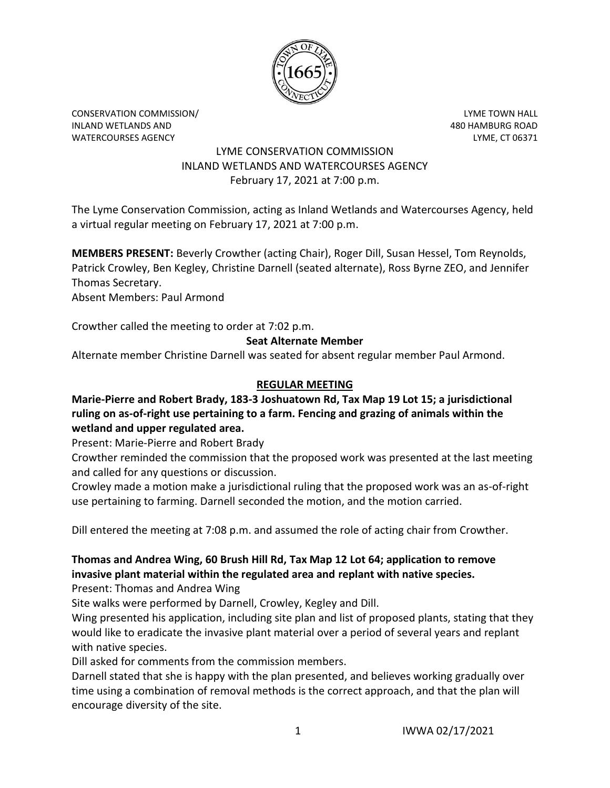

CONSERVATION COMMISSION/ LYME TOWN HALL INLAND WETLANDS AND 480 HAMBURG ROAD WATERCOURSES AGENCY LYME, CT 06371

## LYME CONSERVATION COMMISSION INLAND WETLANDS AND WATERCOURSES AGENCY February 17, 2021 at 7:00 p.m.

The Lyme Conservation Commission, acting as Inland Wetlands and Watercourses Agency, held a virtual regular meeting on February 17, 2021 at 7:00 p.m.

**MEMBERS PRESENT:** Beverly Crowther (acting Chair), Roger Dill, Susan Hessel, Tom Reynolds, Patrick Crowley, Ben Kegley, Christine Darnell (seated alternate), Ross Byrne ZEO, and Jennifer Thomas Secretary.

Absent Members: Paul Armond

Crowther called the meeting to order at 7:02 p.m.

## **Seat Alternate Member**

Alternate member Christine Darnell was seated for absent regular member Paul Armond.

## **REGULAR MEETING**

**Marie-Pierre and Robert Brady, 183-3 Joshuatown Rd, Tax Map 19 Lot 15; a jurisdictional ruling on as-of-right use pertaining to a farm. Fencing and grazing of animals within the wetland and upper regulated area.**

Present: Marie-Pierre and Robert Brady

Crowther reminded the commission that the proposed work was presented at the last meeting and called for any questions or discussion.

Crowley made a motion make a jurisdictional ruling that the proposed work was an as-of-right use pertaining to farming. Darnell seconded the motion, and the motion carried.

Dill entered the meeting at 7:08 p.m. and assumed the role of acting chair from Crowther.

# **Thomas and Andrea Wing, 60 Brush Hill Rd, Tax Map 12 Lot 64; application to remove invasive plant material within the regulated area and replant with native species.**

Present: Thomas and Andrea Wing

Site walks were performed by Darnell, Crowley, Kegley and Dill.

Wing presented his application, including site plan and list of proposed plants, stating that they would like to eradicate the invasive plant material over a period of several years and replant with native species.

Dill asked for comments from the commission members.

Darnell stated that she is happy with the plan presented, and believes working gradually over time using a combination of removal methods is the correct approach, and that the plan will encourage diversity of the site.